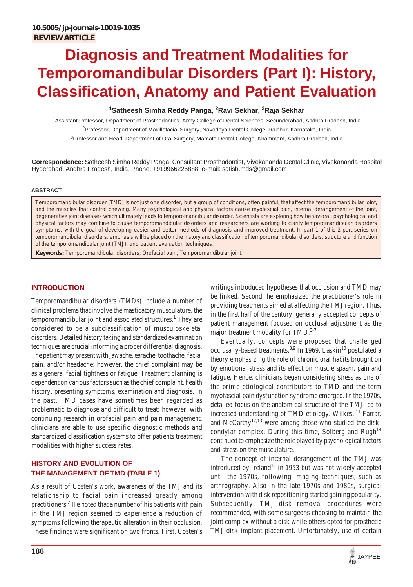# **Diagnosis and Treatment Modalities for Temporomandibular Disorders (Part I): History, Classification, Anatomy and Patient Evaluation**

# <sup>1</sup>Satheesh Simha Reddy Panga, <sup>2</sup>Ravi Sekhar, <sup>3</sup>Raja Sekhar

1 Assistant Professor, Department of Prosthodontics, Army College of Dental Sciences, Secunderabad, Andhra Pradesh, India 2 Professor, Department of Maxillofacial Surgery, Navodaya Dental College, Raichur, Karnataka, India <sup>3</sup>Professor and Head, Department of Oral Surgery, Mamata Dental College, Khammam, Andhra Pradesh, India

**Correspondence:** Satheesh Simha Reddy Panga, Consultant Prosthodontist, Vivekananda Dental Clinic, Vivekananda Hospital Hyderabad, Andhra Pradesh, India, Phone: +919966225888, e-mail: satish.mds@gmail.com

#### **ABSTRACT**

Temporomandibular disorder (TMD) is not just one disorder, but a group of conditions, often painful, that affect the temporomandibular joint, and the muscles that control chewing. Many psychological and physical factors cause myofascial pain, internal derangement of the joint, degenerative joint diseases which ultimately leads to temporomandibular disorder. Scientists are exploring how behavioral, psychological and physical factors may combine to cause temporomandibular disorders and researchers are working to clarify temporomandibular disorders symptoms, with the goal of developing easier and better methods of diagnosis and improved treatment. In part 1 of this 2-part series on temporomandibular disorders, emphasis will be placed on the history and classification of temporomandibular disorders, structure and function of the temporomandibular joint (TMJ), and patient evaluation techniques.

**Keywords:** Temporomandibular disorders, Orofacial pain, Temporomandibular joint.

### **INTRODUCTION**

Temporomandibular disorders (TMDs) include a number of clinical problems that involve the masticatory musculature, the temporomandibular joint and associated structures.<sup>1</sup> They are considered to be a subclassification of musculoskeletal disorders. Detailed history taking and standardized examination techniques are crucial informing a proper differential diagnosis. The patient may present with jawache, earache, toothache, facial pain, and/or headache; however, the chief complaint may be as a general facial tightness or fatigue. Treatment planning is dependent on various factors such as the chief complaint, health history, presenting symptoms, examination and diagnosis. In the past, TMD cases have sometimes been regarded as problematic to diagnose and difficult to treat; however, with continuing research in orofacial pain and pain management, clinicians are able to use specific diagnostic methods and standardized classification systems to offer patients treatment modalities with higher success rates.

# **HISTORY AND EVOLUTION OF THE MANAGEMENT OF TMD (TABLE 1)**

As a result of Costen's work, awareness of the TMJ and its relationship to facial pain increased greatly among practitioners.<sup>2</sup> He noted that a number of his patients with pain in the TMJ region seemed to experience a reduction of symptoms following therapeutic alteration in their occlusion. These findings were significant on two fronts. First, Costen's writings introduced hypotheses that occlusion and TMD may be linked. Second, he emphasized the practitioner's role in providing treatments aimed at affecting the TMJ region. Thus, in the first half of the century, generally accepted concepts of patient management focused on occlusal adjustment as the major treatment modality for TMD.<sup>3-7</sup>

Eventually, concepts were proposed that challenged occlusally-based treatments.<sup>8,9</sup> In 1969, Laskin<sup>10</sup> postulated a theory emphasizing the role of chronic oral habits brought on by emotional stress and its effect on muscle spasm, pain and fatigue. Hence, clinicians began considering stress as one of the prime etiological contributors to TMD and the term myofascial pain dysfunction syndrome emerged. In the 1970s, detailed focus on the anatomical structure of the TMJ led to increased understanding of TMD etiology. Wilkes,  $^{11}$  Farrar, and McCarthy<sup>12,13</sup> were among those who studied the diskcondylar complex. During this time, Solberg and Rugh<sup>14</sup> continued to emphasize the role played by psychological factors and stress on the musculature.

The concept of internal derangement of the TMJ was introduced by Ireland<sup>15</sup> in 1953 but was not widely accepted until the 1970s, following imaging techniques, such as arthrography. Also in the late 1970s and 1980s, surgical intervention with disk repositioning started gaining popularity. Subsequently, TMJ disk removal procedures were recommended, with some surgeons choosing to maintain the joint complex without a disk while others opted for prosthetic TMJ disk implant placement. Unfortunately, use of certain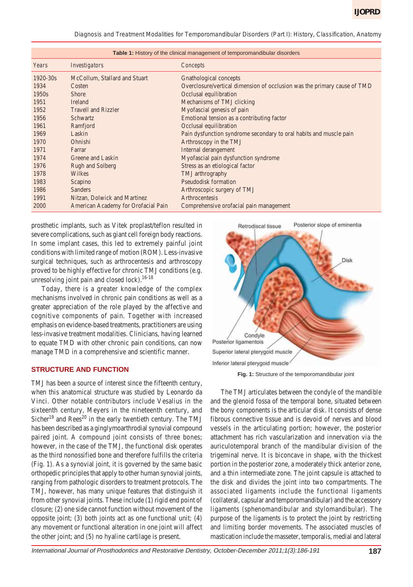*Diagnosis and Treatment Modalities for Temporomandibular Disorders (Part I): History, Classification, Anatomy*

| <b>Table 1:</b> History of the clinical management of temporomandibular disorders |                                     |                                                                          |
|-----------------------------------------------------------------------------------|-------------------------------------|--------------------------------------------------------------------------|
| Years                                                                             | <i>Investigators</i>                | Concepts                                                                 |
| $1920 - 30s$                                                                      | McCollum, Stallard and Stuart       | Gnathological concepts                                                   |
| 1934                                                                              | Costen                              | Overclosure/vertical dimension of occlusion was the primary cause of TMD |
| 1950s                                                                             | <b>Shore</b>                        | Occlusal equilibration                                                   |
| 1951                                                                              | <b>Ireland</b>                      | Mechanisms of TMJ clicking                                               |
| 1952                                                                              | <b>Travell and Rizzler</b>          | Myofascial genesis of pain                                               |
| 1956                                                                              | Schwartz                            | Emotional tension as a contributing factor                               |
| 1961                                                                              | Ramfjord                            | Occlusal equilibration                                                   |
| 1969                                                                              | Laskin                              | Pain dysfunction syndrome secondary to oral habits and muscle pain       |
| 1970                                                                              | Ohnishi                             | Arthroscopy in the TMJ                                                   |
| 1971                                                                              | Farrar                              | Internal derangement                                                     |
| 1974                                                                              | Greene and Laskin                   | Myofascial pain dysfunction syndrome                                     |
| 1976                                                                              | <b>Rugh and Solberg</b>             | Stress as an etiological factor                                          |
| 1978                                                                              | <b>Wilkes</b>                       | TMJ arthrography                                                         |
| 1983                                                                              | Scapino                             | <b>Pseudodisk formation</b>                                              |
| 1986                                                                              | <b>Sanders</b>                      | Arthroscopic surgery of TMJ                                              |
| 1991                                                                              | Nitzan, Dolwick and Martinez        | Arthrocentesis                                                           |
| 2000                                                                              | American Academy for Orofacial Pain | Comprehensive orofacial pain management                                  |

prosthetic implants, such as Vitek proplast/teflon resulted in severe complications, such as giant cell foreign body reactions. In some implant cases, this led to extremely painful joint conditions with limited range of motion (ROM). Less-invasive surgical techniques, such as arthrocentesis and arthroscopy proved to be highly effective for chronic TMJ conditions (e.g. unresolving joint pain and closed lock). $16-18$ 

Today, there is a greater knowledge of the complex mechanisms involved in chronic pain conditions as well as a greater appreciation of the role played by the affective and cognitive components of pain. Together with increased emphasis on evidence-based treatments, practitioners are using less-invasive treatment modalities. Clinicians, having learned to equate TMD with other chronic pain conditions, can now manage TMD in a comprehensive and scientific manner.

## **STRUCTURE AND FUNCTION**

TMJ has been a source of interest since the fifteenth century, when this anatomical structure was studied by Leonardo da Vinci. Other notable contributors include Vesalius in the sixteenth century, Meyers in the nineteenth century, and Sicher<sup>19</sup> and Rees<sup>20</sup> in the early twentieth century. The TMJ has been described as a ginglymoarthrodial synovial compound paired joint. A compound joint consists of three bones; however, in the case of the TMJ, the functional disk operates as the third nonossified bone and therefore fulfills the criteria (Fig. 1). As a synovial joint, it is governed by the same basic orthopedic principles that apply to other human synovial joints, ranging from pathologic disorders to treatment protocols. The TMJ, however, has many unique features that distinguish it from other synovial joints. These include (1) rigid end point of closure; (2) one side cannot function without movement of the opposite joint; (3) both joints act as one functional unit; (4) any movement or functional alteration in one joint will affect the other joint; and (5) no hyaline cartilage is present.



**Fig. 1:** Structure of the temporomandibular joint

The TMJ articulates between the condyle of the mandible and the glenoid fossa of the temporal bone, situated between the bony components is the articular disk. It consists of dense fibrous connective tissue and is devoid of nerves and blood vessels in the articulating portion; however, the posterior attachment has rich vascularization and innervation via the auriculotemporal branch of the mandibular division of the trigeminal nerve. It is biconcave in shape, with the thickest portion in the posterior zone, a moderately thick anterior zone, and a thin intermediate zone. The joint capsule is attached to the disk and divides the joint into two compartments. The associated ligaments include the functional ligaments (collateral, capsular and temporomandibular) and the accessory ligaments (sphenomandibular and stylomandibular). The purpose of the ligaments is to protect the joint by restricting and limiting border movements. The associated muscles of mastication include the masseter, temporalis, medial and lateral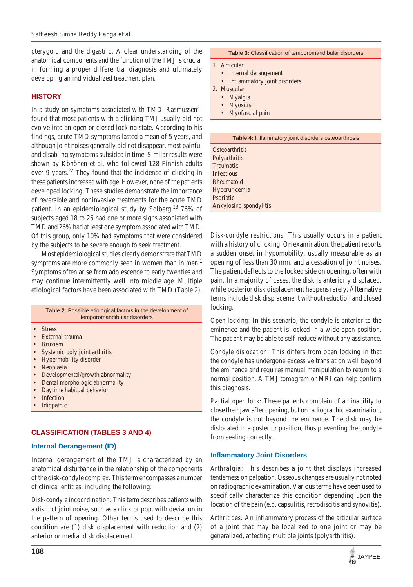pterygoid and the digastric. A clear understanding of the anatomical components and the function of the TMJ is crucial in forming a proper differential diagnosis and ultimately developing an individualized treatment plan.

#### **HISTORY**

In a study on symptoms associated with TMD, Rasmussen<sup>21</sup> found that most patients with a clicking TMJ usually did not evolve into an open or closed locking state. According to his findings, acute TMD symptoms lasted a mean of 5 years, and although joint noises generally did not disappear, most painful and disabling symptoms subsided in time. Similar results were shown by Könönen et al, who followed 128 Finnish adults over 9 years.<sup>22</sup> They found that the incidence of clicking in these patients increased with age. However, none of the patients developed locking. These studies demonstrate the importance of reversible and noninvasive treatments for the acute TMD patient. In an epidemiological study by Solberg,  $23\frac{76}{6}$  of subjects aged 18 to 25 had one or more signs associated with TMD and 26% had at least one symptom associated with TMD. Of this group, only 10% had symptoms that were considered by the subjects to be severe enough to seek treatment.

Most epidemiological studies clearly demonstrate that TMD symptoms are more commonly seen in women than in men.<sup>1</sup> Symptoms often arise from adolescence to early twenties and may continue intermittently well into middle age. Multiple etiological factors have been associated with TMD (Table 2).

**Table 2:** Possible etiological factors in the development of temporomandibular disorders

- **Stress**
- External trauma
- **Bruxism**
- Systemic poly joint arthritis
- Hypermobility disorder
- Neoplasia
- Developmental/growth abnormality
- Dental morphologic abnormality
- Daytime habitual behavior
- **Infection**
- **Idiopathic**

### **CLASSIFICATION (TABLES 3 AND 4)**

### **Internal Derangement (ID)**

Internal derangement of the TMJ is characterized by an anatomical disturbance in the relationship of the components of the disk-condyle complex. This term encompasses a number of clinical entities, including the following:

*Disk-condyle incoordination:* This term describes patients with a distinct joint noise, such as a click or pop, with deviation in the pattern of opening. Other terms used to describe this condition are (1) disk displacement with reduction and (2) anterior or medial disk displacement.

#### **Table 3:** Classification of temporomandibular disorders

- 1. Articular
	- Internal derangement
	- Inflammatory joint disorders
- 2. Muscular
	- Myalgia
	- **Myositis**
	- Myofascial pain

| <b>Table 4: Inflammatory joint disorders osteoarthrosis</b> |
|-------------------------------------------------------------|
| <b>O</b> steoarthritis                                      |
| Polyarthritis                                               |
| <b>Traumatic</b>                                            |
| <b>Infectious</b>                                           |
| Rheumatoid                                                  |
| Hyperuricemia                                               |
| Psoriatic                                                   |
| Ankylosing spondylitis                                      |

*Disk-condyle restrictions:* This usually occurs in a patient with a history of clicking. On examination, the patient reports a sudden onset in hypomobility, usually measurable as an opening of less than 30 mm, and a cessation of joint noises. The patient deflects to the locked side on opening, often with pain. In a majority of cases, the disk is anteriorly displaced, while posterior disk displacement happens rarely. Alternative terms include disk displacement without reduction and closed locking.

*Open locking:* In this scenario, the condyle is anterior to the eminence and the patient is locked in a wide-open position. The patient may be able to self-reduce without any assistance.

*Condyle dislocation:* This differs from open locking in that the condyle has undergone excessive translation well beyond the eminence and requires manual manipulation to return to a normal position. A TMJ tomogram or MRI can help confirm this diagnosis.

*Partial open lock:* These patients complain of an inability to close their jaw after opening, but on radiographic examination, the condyle is not beyond the eminence. The disk may be dislocated in a posterior position, thus preventing the condyle from seating correctly.

### **Inflammatory Joint Disorders**

*Arthralgia:* This describes a joint that displays increased tenderness on palpation. Osseous changes are usually not noted on radiographic examination. Various terms have been used to specifically characterize this condition depending upon the location of the pain (e.g. capsulitis, retrodiscitis and synovitis).

*Arthritides:* An inflammatory process of the articular surface of a joint that may be localized to one joint or may be generalized, affecting multiple joints (polyarthritis).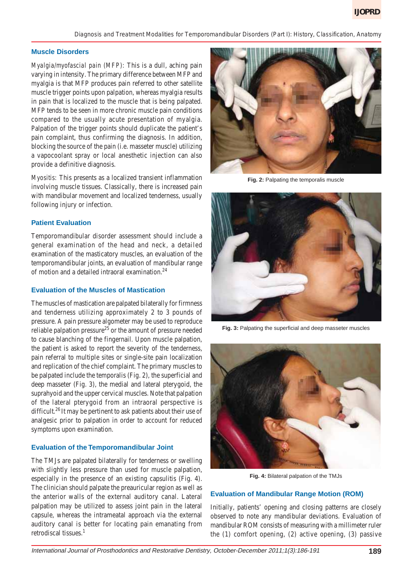*Diagnosis and Treatment Modalities for Temporomandibular Disorders (Part I): History, Classification, Anatomy*

#### **Muscle Disorders**

*Myalgia/myofascial pain (MFP):* This is a dull, aching pain varying in intensity. The primary difference between MFP and myalgia is that MFP produces pain referred to other satellite muscle trigger points upon palpation, whereas myalgia results in pain that is localized to the muscle that is being palpated. MFP tends to be seen in more chronic muscle pain conditions compared to the usually acute presentation of myalgia. Palpation of the trigger points should duplicate the patient's pain complaint, thus confirming the diagnosis. In addition, blocking the source of the pain (i.e. masseter muscle) utilizing a vapocoolant spray or local anesthetic injection can also provide a definitive diagnosis.

*Myositis:* This presents as a localized transient inflammation involving muscle tissues. Classically, there is increased pain with mandibular movement and localized tenderness, usually following injury or infection.

### **Patient Evaluation**

Temporomandibular disorder assessment should include a general examination of the head and neck, a detailed examination of the masticatory muscles, an evaluation of the temporomandibular joints, an evaluation of mandibular range of motion and a detailed intraoral examination.<sup>24</sup>

# **Evaluation of the Muscles of Mastication**

The muscles of mastication are palpated bilaterally for firmness and tenderness utilizing approximately 2 to 3 pounds of pressure. A pain pressure algometer may be used to reproduce reliable palpation pressure $^{25}$  or the amount of pressure needed to cause blanching of the fingernail. Upon muscle palpation, the patient is asked to report the severity of the tenderness, pain referral to multiple sites or single-site pain localization and replication of the chief complaint. The primary muscles to be palpated include the temporalis (Fig. 2), the superficial and deep masseter (Fig. 3), the medial and lateral pterygoid, the suprahyoid and the upper cervical muscles. Note that palpation of the lateral pterygoid from an intraoral perspective is difficult.<sup>26</sup> It may be pertinent to ask patients about their use of analgesic prior to palpation in order to account for reduced symptoms upon examination.

### **Evaluation of the Temporomandibular Joint**

The TMJs are palpated bilaterally for tenderness or swelling with slightly less pressure than used for muscle palpation, especially in the presence of an existing capsulitis (Fig. 4). The clinician should palpate the preauricular region as well as the anterior walls of the external auditory canal. Lateral palpation may be utilized to assess joint pain in the lateral capsule, whereas the intrameatal approach via the external auditory canal is better for locating pain emanating from retrodiscal tissues. $<sup>1</sup>$ </sup>



**Fig. 2:** Palpating the temporalis muscle



**Fig. 3:** Palpating the superficial and deep masseter muscles



**Fig. 4:** Bilateral palpation of the TMJs

### **Evaluation of Mandibular Range Motion (ROM)**

Initially, patients' opening and closing patterns are closely observed to note any mandibular deviations. Evaluation of mandibular ROM consists of measuring with a millimeter ruler the (1) comfort opening, (2) active opening, (3) passive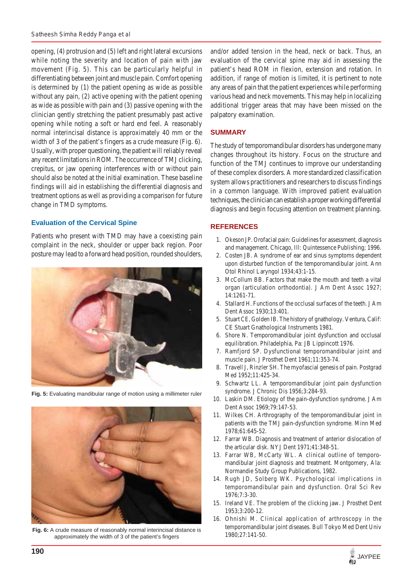opening, (4) protrusion and (5) left and right lateral excursions while noting the severity and location of pain with jaw movement (Fig. 5). This can be particularly helpful in differentiating between joint and muscle pain. Comfort opening is determined by (1) the patient opening as wide as possible without any pain, (2) active opening with the patient opening as wide as possible with pain and (3) passive opening with the clinician gently stretching the patient presumably past active opening while noting a soft or hard end feel. A reasonably normal interincisal distance is approximately 40 mm or the width of 3 of the patient's fingers as a crude measure (Fig. 6). Usually, with proper questioning, the patient will reliably reveal any recent limitations in ROM. The occurrence of TMJ clicking, crepitus, or jaw opening interferences with or without pain should also be noted at the initial examination. These baseline findings will aid in establishing the differential diagnosis and treatment options as well as providing a comparison for future change in TMD symptoms.

# **Evaluation of the Cervical Spine**

Patients who present with TMD may have a coexisting pain complaint in the neck, shoulder or upper back region. Poor posture may lead to a forward head position, rounded shoulders,



**Fig. 5:** Evaluating mandibular range of motion using a millimeter ruler



**Fig. 6:** A crude measure of reasonably normal interincisal distance is approximately the width of 3 of the patient's fingers

and/or added tension in the head, neck or back. Thus, an evaluation of the cervical spine may aid in assessing the patient's head ROM in flexion, extension and rotation. In addition, if range of motion is limited, it is pertinent to note any areas of pain that the patient experiences while performing various head and neck movements. This may help in localizing additional trigger areas that may have been missed on the palpatory examination.

#### **SUMMARY**

The study of temporomandibular disorders has undergone many changes throughout its history. Focus on the structure and function of the TMJ continues to improve our understanding of these complex disorders. A more standardized classification system allows practitioners and researchers to discuss findings in a common language. With improved patient evaluation techniques, the clinician can establish a proper working differential diagnosis and begin focusing attention on treatment planning.

#### **REFERENCES**

- 1. Okeson JP. Orofacial pain: Guidelines for assessment, diagnosis and management. Chicago, Ill: Quintessence Publishing; 1996.
- 2. Costen JB. A syndrome of ear and sinus symptoms dependent upon disturbed function of the temporomandibular joint. Ann Otol Rhinol Laryngol 1934;43:1-15.
- 3. McCollum BB. Factors that make the mouth and teeth a vital organ (articulation orthodontia). J Am Dent Assoc 1927; 14:1261-71.
- 4. Stallard H. Functions of the occlusal surfaces of the teeth. J Am Dent Assoc 1930;13:401.
- 5. Stuart CE, Golden IB. The history of gnathology. Ventura, Calif: CE Stuart Gnathological Instruments 1981.
- 6. Shore N. Temporomandibular joint dysfunction and occlusal equilibration. Philadelphia, Pa: JB Lippincott 1976.
- 7. Ramfjord SP. Dysfunctional temporomandibular joint and muscle pain. J Prosthet Dent 1961;11:353-74.
- 8. Travell J, Rinzler SH. The myofascial genesis of pain. Postgrad Med 1952;11:425-34.
- 9. Schwartz LL. A temporomandibular joint pain dysfunction syndrome. J Chronic Dis 1956;3:284-93.
- 10. Laskin DM. Etiology of the pain-dysfunction syndrome. J Am Dent Assoc 1969;79:147-53.
- 11. Wilkes CH. Arthrography of the temporomandibular joint in patients with the TMJ pain-dysfunction syndrome. Minn Med 1978;61:645-52.
- 12. Farrar WB. Diagnosis and treatment of anterior dislocation of the articular disk. NYJ Dent 1971;41:348-51.
- 13. Farrar WB, McCarty WL. A clinical outline of temporomandibular joint diagnosis and treatment. Montgomery, Ala: Normandie Study Group Publications, 1982.
- 14. Rugh JD, Solberg WK. Psychological implications in temporomandibular pain and dysfunction. Oral Sci Rev 1976;7:3-30.
- 15. Ireland VE. The problem of the clicking jaw. J Prosthet Dent 1953;3:200-12.
- 16. Ohnishi M. Clinical application of arthroscopy in the temporomandibular joint diseases. Bull Tokyo Med Dent Univ 1980;27:141-50.